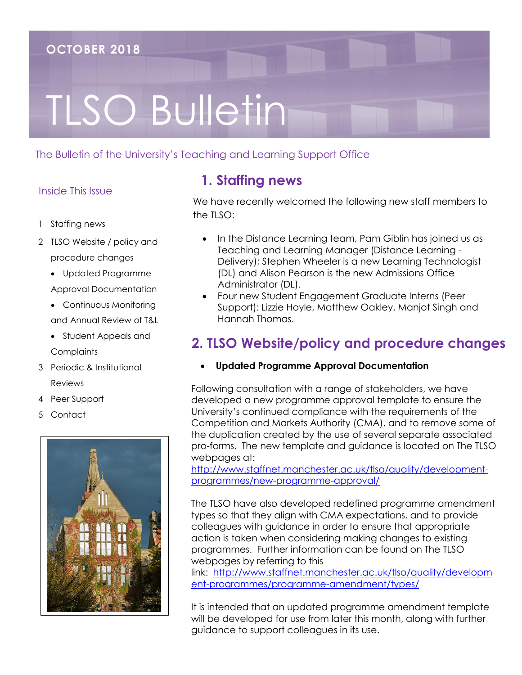# TLSO Bulletin

#### The Bulletin of the University's Teaching and Learning Support Office

#### Inside This Issue

- 1 Staffing news
- 2 TLSO Website / policy and procedure changes
	- Updated Programme Approval Documentation
	- Continuous Monitoring and Annual Review of T&L
	- Student Appeals and **Complaints**
- 3 Periodic & Institutional Reviews
- 4 Peer Support
- 5 Contact



## **1. Staffing news**

We have recently welcomed the following new staff members to the TLSO:

- In the Distance Learning team, Pam Giblin has joined us as Teaching and Learning Manager (Distance Learning - Delivery); Stephen Wheeler is a new Learning Technologist (DL) and Alison Pearson is the new Admissions Office Administrator (DL).
- Four new Student Engagement Graduate Interns (Peer Support): Lizzie Hoyle, Matthew Oakley, Manjot Singh and Hannah Thomas.

# **2. TLSO Website/policy and procedure changes**

**Updated Programme Approval Documentation** 

Following consultation with a range of stakeholders, we have developed a new programme approval template to ensure the University's continued compliance with the requirements of the Competition and Markets Authority (CMA), and to remove some of the duplication created by the use of several separate associated pro-forms. The new template and guidance is located on The TLSO webpages at:

[http://www.staffnet.manchester.ac.uk/tlso/quality/development](http://www.staffnet.manchester.ac.uk/tlso/quality/development-programmes/new-programme-approval/)[programmes/new-programme-approval/](http://www.staffnet.manchester.ac.uk/tlso/quality/development-programmes/new-programme-approval/)

The TLSO have also developed redefined programme amendment types so that they align with CMA expectations, and to provide colleagues with guidance in order to ensure that appropriate action is taken when considering making changes to existing programmes. Further information can be found on The TLSO webpages by referring to this

link: [http://www.staffnet.manchester.ac.uk/tlso/quality/developm](http://www.staffnet.manchester.ac.uk/tlso/quality/development-programmes/programme-amendment/types/) [ent-programmes/programme-amendment/types/](http://www.staffnet.manchester.ac.uk/tlso/quality/development-programmes/programme-amendment/types/)

It is intended that an updated programme amendment template will be developed for use from later this month, along with further guidance to support colleagues in its use.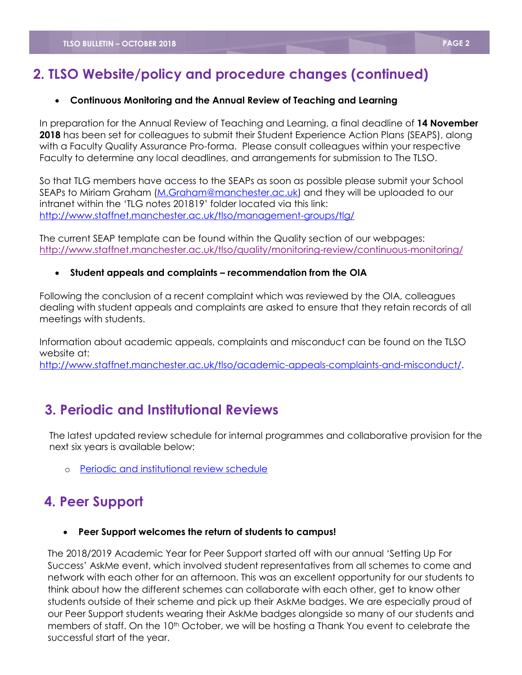## **2. TLSO Website/policy and procedure changes (continued)**

#### **Continuous Monitoring and the Annual Review of Teaching and Learning**

**2018** has been set for colleagues to submit their Student Experience Action Plans (SEAPS), along In preparation for the Annual Review of Teaching and Learning, a final deadline of **14 November**  with a Faculty Quality Assurance Pro-forma. Please consult colleagues within your respective Faculty to determine any local deadlines, and arrangements for submission to The TLSO.

So that TLG members have access to the SEAPs as soon as possible please submit your School SEAPs to Miriam Graham [\(M.Graham@manchester.ac.uk\)](mailto:M.Graham@manchester.ac.uk) and they will be uploaded to our intranet within the 'TLG notes 201819' folder located via this link: <http://www.staffnet.manchester.ac.uk/tlso/management-groups/tlg/>

The current SEAP template can be found within the Quality section of our webpages: <http://www.staffnet.manchester.ac.uk/tlso/quality/monitoring-review/continuous-monitoring/>

#### **Student appeals and complaints – recommendation from the OIA**

Following the conclusion of a recent complaint which was reviewed by the OIA, colleagues dealing with student appeals and complaints are asked to ensure that they retain records of all meetings with students.

Information about academic appeals, complaints and misconduct can be found on the TLSO website at:

[http://www.staffnet.manchester.ac.uk/tlso/academic-appeals-complaints-and-misconduct/.](http://www.staffnet.manchester.ac.uk/tlso/academic-appeals-complaints-and-misconduct/)

## **3. Periodic and Institutional Reviews**

next six years is available below: The latest updated review schedule for internal programmes and collaborative provision for the

o [Periodic and institutional review schedule](http://documents.manchester.ac.uk/display.aspx?DocID=10980)

## **4. Peer Support**

**TLSO Website / Policy & procedure changes and information Peer Support welcomes the return of students to campus!** 

The 2018/2019 Academic Year for Peer Support started off with our annual 'Setting Up For Success' AskMe event, which involved student representatives from all schemes to come and network with each other for an afternoon. This was an excellent opportunity for our students to think about how the different schemes can collaborate with each other, get to know other students outside of their scheme and pick up their AskMe badges. We are especially proud of our Peer Support students wearing their AskMe badges alongside so many of our students and members of staff. On the 10<sup>th</sup> October, we will be hosting a Thank You event to celebrate the successful start of the year.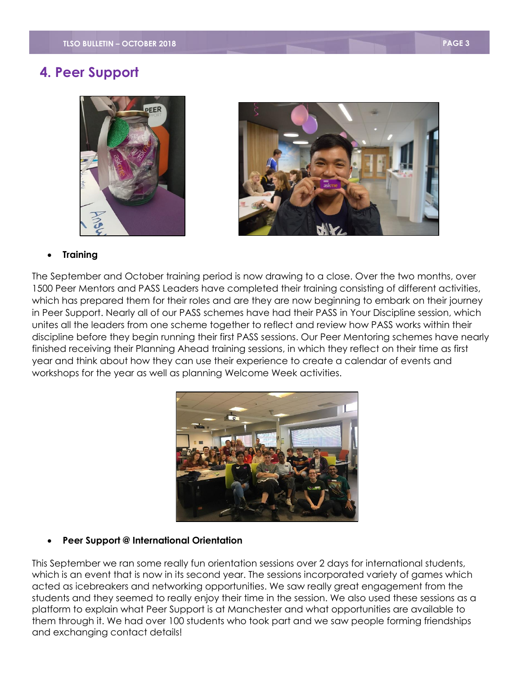### **4. Peer Support**





#### **Training**

The September and October training period is now drawing to a close. Over the two months, over 1500 Peer Mentors and PASS Leaders have completed their training consisting of different activities, which has prepared them for their roles and are they are now beginning to embark on their journey in Peer Support. Nearly all of our PASS schemes have had their PASS in Your Discipline session, which unites all the leaders from one scheme together to reflect and review how PASS works within their discipline before they begin running their first PASS sessions. Our Peer Mentoring schemes have nearly finished receiving their Planning Ahead training sessions, in which they reflect on their time as first year and think about how they can use their experience to create a calendar of events and workshops for the year as well as planning Welcome Week activities.



#### **Peer Support @ International Orientation**

This September we ran some really fun orientation sessions over 2 days for international students, which is an event that is now in its second year. The sessions incorporated variety of games which acted as icebreakers and networking opportunities. We saw really great engagement from the students and they seemed to really enjoy their time in the session. We also used these sessions as a platform to explain what Peer Support is at Manchester and what opportunities are available to them through it. We had over 100 students who took part and we saw people forming friendships and exchanging contact details!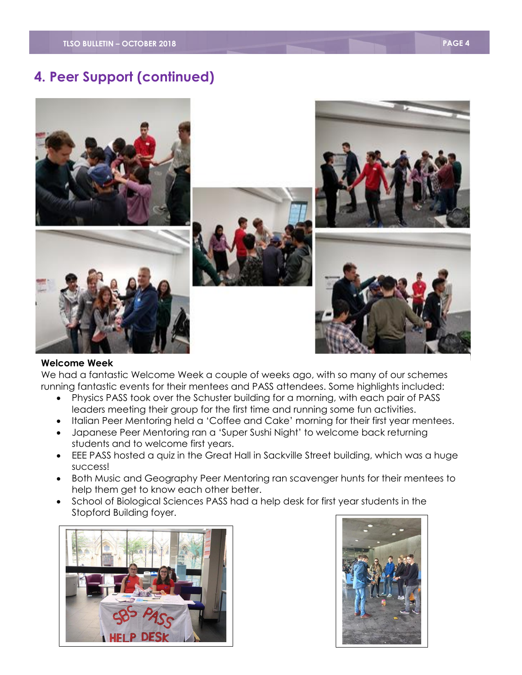## **4. Peer Support (continued)**



#### **Welcome Week**

We had a fantastic Welcome Week a couple of weeks ago, with so many of our schemes running fantastic events for their mentees and PASS attendees. Some highlights included:

- Physics PASS took over the Schuster building for a morning, with each pair of PASS leaders meeting their group for the first time and running some fun activities.
- Italian Peer Mentoring held a 'Coffee and Cake' morning for their first year mentees.
- Japanese Peer Mentoring ran a 'Super Sushi Night' to welcome back returning students and to welcome first years.
- EEE PASS hosted a quiz in the Great Hall in Sackville Street building, which was a huge success!
- Both Music and Geography Peer Mentoring ran scavenger hunts for their mentees to help them get to know each other better.
- School of Biological Sciences PASS had a help desk for first year students in the Stopford Building foyer.